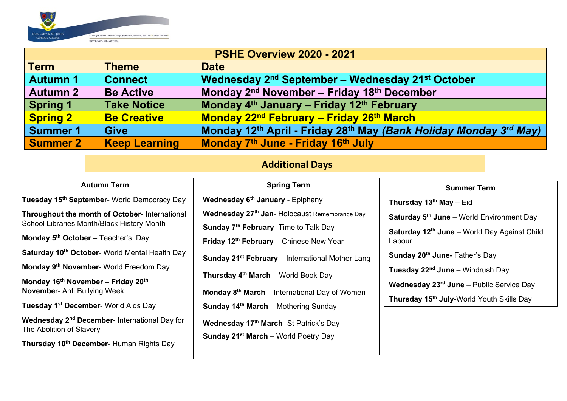

| <b>PSHE Overview 2020 - 2021</b> |                      |                                                                                                       |  |  |  |  |  |  |
|----------------------------------|----------------------|-------------------------------------------------------------------------------------------------------|--|--|--|--|--|--|
| <b>Term</b>                      | <b>Theme</b>         | <b>Date</b>                                                                                           |  |  |  |  |  |  |
| <b>Autumn 1</b>                  | <b>Connect</b>       | Wednesday 2 <sup>nd</sup> September – Wednesday 21 <sup>st</sup> October                              |  |  |  |  |  |  |
| <b>Autumn 2</b>                  | <b>Be Active</b>     | Monday 2 <sup>nd</sup> November – Friday 18 <sup>th</sup> December                                    |  |  |  |  |  |  |
| <b>Spring 1</b>                  | <b>Take Notice</b>   | Monday 4 <sup>th</sup> January – Friday 12 <sup>th</sup> February                                     |  |  |  |  |  |  |
| <b>Spring 2</b>                  | <b>Be Creative</b>   | Monday 22 <sup>nd</sup> February – Friday 26 <sup>th</sup> March                                      |  |  |  |  |  |  |
| <b>Summer 1</b>                  | <b>Give</b>          | Monday 12 <sup>th</sup> April - Friday 28 <sup>th</sup> May (Bank Holiday Monday 3 <sup>rd</sup> May) |  |  |  |  |  |  |
| <b>Summer 2</b>                  | <b>Keep Learning</b> | Monday 7th June - Friday 16th July                                                                    |  |  |  |  |  |  |

## **Additional Days**

| <b>Autumn Term</b>                                         | <b>Spring Term</b>                                           | <b>Summer Term</b>                                                                                                                                                                                                    |  |  |
|------------------------------------------------------------|--------------------------------------------------------------|-----------------------------------------------------------------------------------------------------------------------------------------------------------------------------------------------------------------------|--|--|
| Tuesday 15 <sup>th</sup> September- World Democracy Day    | Wednesday 6 <sup>th</sup> January - Epiphany                 | Thursday $13^{th}$ May - Eid                                                                                                                                                                                          |  |  |
| Throughout the month of October- International             | Wednesday 27 <sup>th</sup> Jan- Holocaust Remembrance Day    | <b>Saturday 5th June – World Environment Day</b><br>Saturday 12 <sup>th</sup> June - World Day Against Child<br>Labour<br><b>Sunday 20th June- Father's Day</b><br><b>Tuesday 22<sup>nd</sup> June</b> – Windrush Day |  |  |
| School Libraries Month/Black History Month                 | <b>Sunday 7th February- Time to Talk Day</b>                 |                                                                                                                                                                                                                       |  |  |
| <b>Monday 5th October – Teacher's Day</b>                  | Friday 12th February - Chinese New Year                      |                                                                                                                                                                                                                       |  |  |
| Saturday 10 <sup>th</sup> October- World Mental Health Day | Sunday 21 <sup>st</sup> February – International Mother Lang |                                                                                                                                                                                                                       |  |  |
| Monday 9 <sup>th</sup> November- World Freedom Day         |                                                              |                                                                                                                                                                                                                       |  |  |
| Monday 16 <sup>th</sup> November - Friday 20 <sup>th</sup> | <b>Thursday 4th March</b> – World Book Day                   | <b>Wednesday 23rd June - Public Service Day</b>                                                                                                                                                                       |  |  |
| <b>November- Anti Bullying Week</b>                        | Monday 8 <sup>th</sup> March – International Day of Women    |                                                                                                                                                                                                                       |  |  |
| Tuesday 1 <sup>st</sup> December- World Aids Day           | <b>Sunday 14th March</b> – Mothering Sunday                  | Thursday 15 <sup>th</sup> July-World Youth Skills Day                                                                                                                                                                 |  |  |
| Wednesday 2 <sup>nd</sup> December- International Day for  | Wednesday 17th March - St Patrick's Day                      |                                                                                                                                                                                                                       |  |  |
| The Abolition of Slavery                                   | <b>Sunday 21<sup>st</sup> March</b> – World Poetry Day       |                                                                                                                                                                                                                       |  |  |
| Thursday 10 <sup>th</sup> December- Human Rights Day       |                                                              |                                                                                                                                                                                                                       |  |  |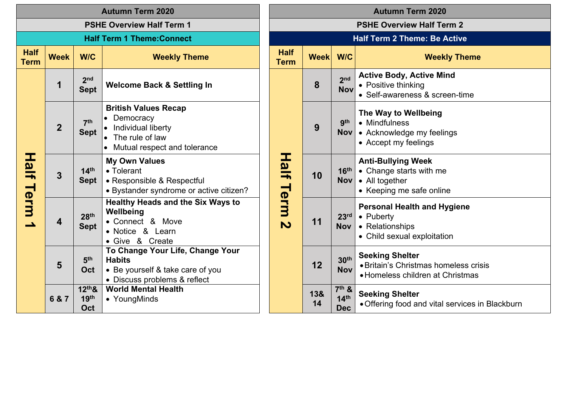| <b>Autumn Term 2020</b>          |                                                                                                                                                                                |                                 |                                                                                                                                                            |                         | <b>Autumn Term 2020</b>          |                                     |                                                                                           |                                                                                                    |  |
|----------------------------------|--------------------------------------------------------------------------------------------------------------------------------------------------------------------------------|---------------------------------|------------------------------------------------------------------------------------------------------------------------------------------------------------|-------------------------|----------------------------------|-------------------------------------|-------------------------------------------------------------------------------------------|----------------------------------------------------------------------------------------------------|--|
| <b>PSHE Overview Half Term 1</b> |                                                                                                                                                                                |                                 |                                                                                                                                                            |                         | <b>PSHE Overview Half Term 2</b> |                                     |                                                                                           |                                                                                                    |  |
|                                  | <b>Half Term 1 Theme: Connect</b>                                                                                                                                              |                                 |                                                                                                                                                            |                         |                                  | <b>Half Term 2 Theme: Be Active</b> |                                                                                           |                                                                                                    |  |
| <b>Half</b><br><b>Term</b>       | <b>Week</b>                                                                                                                                                                    | W/C                             | <b>Weekly Theme</b>                                                                                                                                        |                         |                                  | <b>Week</b>                         | W/C                                                                                       | <b>Weekly The</b>                                                                                  |  |
|                                  | 1                                                                                                                                                                              | 2 <sub>nd</sub><br><b>Sept</b>  | <b>Welcome Back &amp; Settling In</b><br><b>British Values Recap</b><br>Democracy<br>Individual liberty<br>The rule of law<br>Mutual respect and tolerance |                         |                                  | 8                                   | 2 <sub>nd</sub><br><b>Nov</b>                                                             | <b>Active Body, Active Mind</b><br>• Positive thinking<br>• Self-awareness & screen-tin            |  |
|                                  | $\overline{2}$                                                                                                                                                                 | 7 <sup>th</sup><br><b>Sept</b>  |                                                                                                                                                            |                         |                                  | 9                                   | gth<br><b>Nov</b>                                                                         | The Way to Wellbeing<br>• Mindfulness<br>• Acknowledge my feelings<br>• Accept my feelings         |  |
| <b>Half Term</b>                 | $\overline{\mathbf{3}}$                                                                                                                                                        | 14 <sup>th</sup><br><b>Sept</b> | <b>My Own Values</b><br>• Tolerant<br>• Responsible & Respectful<br>· Bystander syndrome or active citizen?                                                |                         | <b>Half Term</b>                 | 10                                  | 16 <sup>th</sup><br><b>Nov</b>                                                            | <b>Anti-Bullying Week</b><br>• Change starts with me<br>• All together<br>• Keeping me safe online |  |
| $\blacktriangle$                 | <b>Healthy Heads and the Six Ways to</b><br>Wellbeing<br>28 <sup>th</sup><br>• Connect & Move<br>$\overline{\mathbf{4}}$<br><b>Sept</b><br>• Notice & Learn<br>• Give & Create |                                 |                                                                                                                                                            | $\overline{\mathbf{v}}$ | 11                               | 23 <sup>rd</sup><br><b>Nov</b>      | Personal Health and Hygien<br>• Puberty<br>• Relationships<br>• Child sexual exploitation |                                                                                                    |  |
|                                  | $5\phantom{1}$                                                                                                                                                                 | 5 <sup>th</sup><br>Oct          | To Change Your Life, Change Your<br><b>Habits</b><br>• Be yourself & take care of you<br>• Discuss problems & reflect                                      |                         |                                  | 12                                  | 30 <sup>th</sup><br><b>Nov</b>                                                            | <b>Seeking Shelter</b><br>· Britain's Christmas homeless<br>• Homeless children at Christn         |  |
|                                  | $12th$ &<br>19 <sup>th</sup><br>6 & 7<br>Oct                                                                                                                                   |                                 | <b>World Mental Health</b><br>• YoungMinds                                                                                                                 |                         |                                  | 13&<br>14                           | $7th$ &<br>14 <sup>th</sup><br><b>Dec</b>                                                 | <b>Seeking Shelter</b><br>• Offering food and vital servic                                         |  |

| <b>Autumn Term 2020</b>          |                                     |                                                                                                                        |                                                                                                     |  |  |  |  |  |  |  |
|----------------------------------|-------------------------------------|------------------------------------------------------------------------------------------------------------------------|-----------------------------------------------------------------------------------------------------|--|--|--|--|--|--|--|
| <b>PSHE Overview Half Term 2</b> |                                     |                                                                                                                        |                                                                                                     |  |  |  |  |  |  |  |
|                                  | <b>Half Term 2 Theme: Be Active</b> |                                                                                                                        |                                                                                                     |  |  |  |  |  |  |  |
| <b>Half</b><br>Term              | <b>Week</b>                         | W/C                                                                                                                    | <b>Weekly Theme</b>                                                                                 |  |  |  |  |  |  |  |
|                                  | 8                                   | 2 <sub>nd</sub><br><b>Nov</b>                                                                                          | <b>Active Body, Active Mind</b><br>• Positive thinking<br>• Self-awareness & screen-time            |  |  |  |  |  |  |  |
|                                  | 9                                   | The Way to Wellbeing<br>gth<br>• Mindfulness<br><b>Nov</b><br>• Acknowledge my feelings<br>• Accept my feelings        |                                                                                                     |  |  |  |  |  |  |  |
| Half Term 2                      | 10                                  | 16 <sup>th</sup><br><b>Nov</b>                                                                                         | <b>Anti-Bullying Week</b><br>• Change starts with me<br>• All together<br>• Keeping me safe online  |  |  |  |  |  |  |  |
|                                  | 11                                  | 23 <sup>rd</sup><br><b>Nov</b>                                                                                         | <b>Personal Health and Hygiene</b><br>• Puberty<br>• Relationships<br>• Child sexual exploitation   |  |  |  |  |  |  |  |
|                                  | 12                                  | 30 <sup>th</sup><br><b>Nov</b>                                                                                         | <b>Seeking Shelter</b><br>• Britain's Christmas homeless crisis<br>• Homeless children at Christmas |  |  |  |  |  |  |  |
|                                  | 13&<br>14                           | $7th$ &<br><b>Seeking Shelter</b><br>14 <sup>th</sup><br>• Offering food and vital services in Blackburn<br><b>Dec</b> |                                                                                                     |  |  |  |  |  |  |  |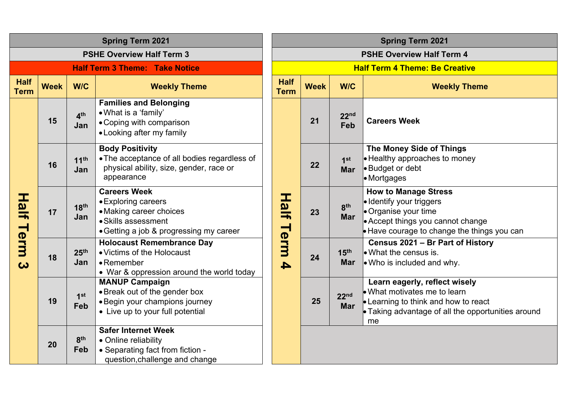| <b>Spring Term 2021</b>    |                                                                                                                                                          |                         |                                                                                                                                         |  |                            |             |                                | <b>Spring Term 2021</b>                                                                                                                                      |
|----------------------------|----------------------------------------------------------------------------------------------------------------------------------------------------------|-------------------------|-----------------------------------------------------------------------------------------------------------------------------------------|--|----------------------------|-------------|--------------------------------|--------------------------------------------------------------------------------------------------------------------------------------------------------------|
|                            |                                                                                                                                                          |                         | <b>PSHE Overview Half Term 3</b>                                                                                                        |  |                            |             |                                | <b>PSHE Overview Half Term 4</b>                                                                                                                             |
|                            |                                                                                                                                                          |                         | <b>Half Term 3 Theme: Take Notice</b>                                                                                                   |  |                            |             |                                | <b>Half Term 4 Theme: Be Creative</b>                                                                                                                        |
| <b>Half</b><br><b>Term</b> | <b>Week</b>                                                                                                                                              | <b>W/C</b>              | <b>Weekly Theme</b>                                                                                                                     |  | <b>Half</b><br><b>Term</b> | <b>Week</b> | W/C                            | <b>Weekly The</b>                                                                                                                                            |
|                            | 15                                                                                                                                                       | 4 <sup>th</sup><br>Jan  | <b>Families and Belonging</b><br>. What is a 'family'<br>• Coping with comparison<br>• Looking after my family                          |  |                            | 21          | 22 <sup>nd</sup><br>Feb        | <b>Careers Week</b>                                                                                                                                          |
|                            | 16                                                                                                                                                       | 11 <sup>th</sup><br>Jan | <b>Body Positivity</b><br>• The acceptance of all bodies regardless of<br>physical ability, size, gender, race or<br>appearance         |  |                            | 22          | 1 <sup>st</sup><br><b>Mar</b>  | The Money Side of Things<br>• Healthy approaches to money<br>• Budget or debt<br>• Mortgages                                                                 |
| Half Term 3                | 17                                                                                                                                                       | 18 <sup>th</sup><br>Jan | <b>Careers Week</b><br>• Exploring careers<br>• Making career choices<br>• Skills assessment<br>• Getting a job & progressing my career |  | <b>Half Term 4</b>         | 23          | 8 <sup>th</sup><br>Mar         | <b>How to Manage Stress</b><br>· Identify your triggers<br>Organise your time<br>• Accept things you cannot char<br>Have courage to change the tle           |
|                            | 18                                                                                                                                                       | 25 <sup>th</sup><br>Jan | <b>Holocaust Remembrance Day</b><br>• Victims of the Holocaust<br>• Remember<br>• War & oppression around the world today               |  |                            | 24          | 15 <sup>th</sup><br><b>Mar</b> | Census 2021 - Br Part of His<br>$\bullet$ What the census is.<br>. Who is included and why.                                                                  |
|                            | 19                                                                                                                                                       | 1 <sup>st</sup><br>Feb  | <b>MANUP Campaign</b><br>• Break out of the gender box<br>• Begin your champions journey<br>• Live up to your full potential            |  |                            | 25          | 22 <sup>nd</sup><br><b>Mar</b> | Learn eagerly, reflect wisely<br>$\bullet$ What motivates me to learn<br><b>Examing to think and how to readly</b><br>• Taking advantage of all the op<br>me |
|                            | <b>Safer Internet Week</b><br>8 <sup>th</sup><br>• Online reliability<br>20<br>Feb<br>• Separating fact from fiction -<br>question, challenge and change |                         |                                                                                                                                         |  |                            |             |                                |                                                                                                                                                              |

|                            | <b>Spring Term 2021</b>               |                                |                                                                                                                                                                           |  |  |  |  |  |  |  |  |
|----------------------------|---------------------------------------|--------------------------------|---------------------------------------------------------------------------------------------------------------------------------------------------------------------------|--|--|--|--|--|--|--|--|
|                            | <b>PSHE Overview Half Term 4</b>      |                                |                                                                                                                                                                           |  |  |  |  |  |  |  |  |
|                            | <b>Half Term 4 Theme: Be Creative</b> |                                |                                                                                                                                                                           |  |  |  |  |  |  |  |  |
| <b>Half</b><br><b>Term</b> | <b>Week</b>                           | W/C                            | <b>Weekly Theme</b>                                                                                                                                                       |  |  |  |  |  |  |  |  |
|                            | 21                                    | 22 <sup>nd</sup><br>Feb        | <b>Careers Week</b>                                                                                                                                                       |  |  |  |  |  |  |  |  |
|                            | 22                                    | 1 <sup>st</sup><br><b>Mar</b>  | <b>The Money Side of Things</b><br>• Healthy approaches to money<br>• Budget or debt<br>• Mortgages                                                                       |  |  |  |  |  |  |  |  |
| Half Term 4                | 23                                    | 8 <sup>th</sup><br><b>Mar</b>  | <b>How to Manage Stress</b><br>• Identify your triggers<br>• Organise your time<br>• Accept things you cannot change<br>• Have courage to change the things you can       |  |  |  |  |  |  |  |  |
|                            | 24                                    | 15 <sup>th</sup><br><b>Mar</b> | Census 2021 - Br Part of History<br>• What the census is.<br>. Who is included and why.                                                                                   |  |  |  |  |  |  |  |  |
|                            | 25                                    | 22 <sub>nd</sub><br><b>Mar</b> | Learn eagerly, reflect wisely<br>$\bullet$ What motivates me to learn<br>• Learning to think and how to react<br>• Taking advantage of all the opportunities around<br>me |  |  |  |  |  |  |  |  |
|                            |                                       |                                |                                                                                                                                                                           |  |  |  |  |  |  |  |  |